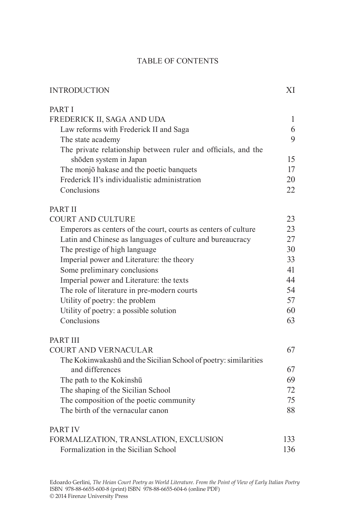## TABLE OF CONTENTS

INTRODUCTION XI

| PART I                                                                        |              |
|-------------------------------------------------------------------------------|--------------|
| FREDERICK II, SAGA AND UDA                                                    | $\mathbf{1}$ |
| Law reforms with Frederick II and Saga                                        | 6            |
| The state academy                                                             | 9            |
| The private relationship between ruler and officials, and the                 |              |
| shōden system in Japan                                                        | 15           |
| The monjō hakase and the poetic banquets                                      | 17           |
| Frederick II's individualistic administration                                 | 20           |
| Conclusions                                                                   | 22           |
| <b>PART II</b>                                                                |              |
| <b>COURT AND CULTURE</b>                                                      | 23           |
| Emperors as centers of the court, courts as centers of culture                | 23           |
| Latin and Chinese as languages of culture and bureaucracy                     | 27           |
| The prestige of high language                                                 | 30           |
| Imperial power and Literature: the theory                                     | 33           |
| Some preliminary conclusions                                                  | 41           |
| Imperial power and Literature: the texts                                      | 44           |
| The role of literature in pre-modern courts                                   | 54           |
| Utility of poetry: the problem                                                | 57           |
| Utility of poetry: a possible solution                                        | 60           |
| Conclusions                                                                   | 63           |
| <b>PART III</b>                                                               |              |
| <b>COURT AND VERNACULAR</b>                                                   | 67           |
| The Kokinwakashū and the Sicilian School of poetry: similarities              |              |
| and differences                                                               | 67<br>69     |
| The path to the Kokinshū                                                      | 72           |
| The shaping of the Sicilian School<br>The composition of the poetic community | 75           |
| The birth of the vernacular canon                                             | 88           |
|                                                                               |              |
| <b>PART IV</b><br>FORMALIZATION, TRANSLATION, EXCLUSION                       | 133          |
| Formalization in the Sicilian School                                          | 136          |
|                                                                               |              |